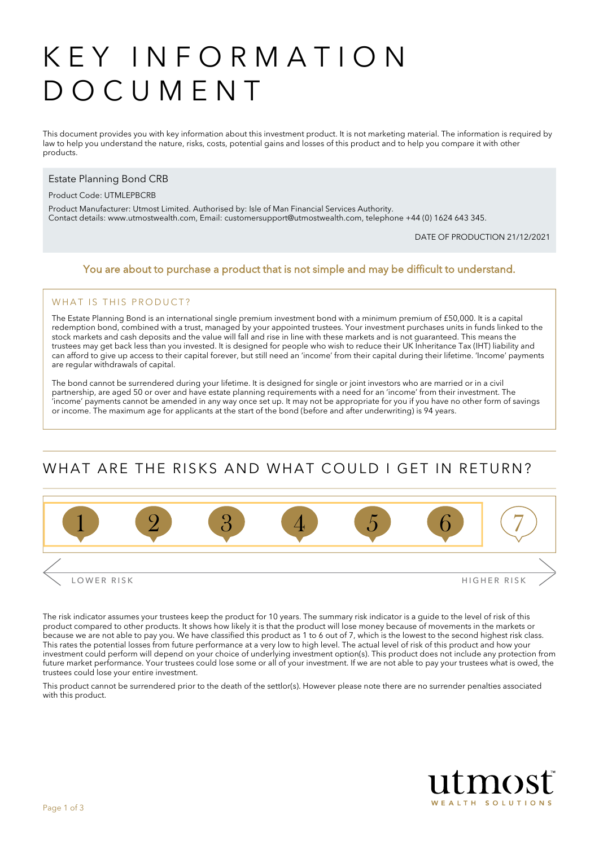# KEY INFORMATION DOCUMENT

This document provides you with key information about this investment product. It is not marketing material. The information is required by law to help you understand the nature, risks, costs, potential gains and losses of this product and to help you compare it with other products.

### Estate Planning Bond CRB

#### Product Code: UTMLEPBCRB

Product Manufacturer: Utmost Limited. Authorised by: Isle of Man Financial Services Authority. Contact details: [www.utmostwealth.com,](www.utmostinternational.com) Email: customersupport@utmostwealth.com, telephone +44 (0) 1624 643 345.

DATE OF PRODUCTION 21/12/2021

### You are about to purchase a product that is not simple and may be difficult to understand.

### WHAT IS THIS PRODUCT?

The Estate Planning Bond is an international single premium investment bond with a minimum premium of £50,000. It is a capital redemption bond, combined with a trust, managed by your appointed trustees. Your investment purchases units in funds linked to the stock markets and cash deposits and the value will fall and rise in line with these markets and is not guaranteed. This means the trustees may get back less than you invested. It is designed for people who wish to reduce their UK Inheritance Tax (IHT) liability and can afford to give up access to their capital forever, but still need an 'income' from their capital during their lifetime. 'Income' payments are regular withdrawals of capital.

The bond cannot be surrendered during your lifetime. It is designed for single or joint investors who are married or in a civil partnership, are aged 50 or over and have estate planning requirements with a need for an 'income' from their investment. The 'income' payments cannot be amended in any way once set up. It may not be appropriate for you if you have no other form of savings or income. The maximum age for applicants at the start of the bond (before and after underwriting) is 94 years.

# WHAT ARE THE RISKS AND WHAT COULD LGET IN RETURN?



The risk indicator assumes your trustees keep the product for 10 years. The summary risk indicator is a guide to the level of risk of this product compared to other products. It shows how likely it is that the product will lose money because of movements in the markets or because we are not able to pay you. We have classified this product as 1 to 6 out of 7, which is the lowest to the second highest risk class. This rates the potential losses from future performance at a very low to high level. The actual level of risk of this product and how your investment could perform will depend on your choice of underlying investment option(s). This product does not include any protection from future market performance. Your trustees could lose some or all of your investment. If we are not able to pay your trustees what is owed, the trustees could lose your entire investment.

This product cannot be surrendered prior to the death of the settlor(s). However please note there are no surrender penalties associated with this product.

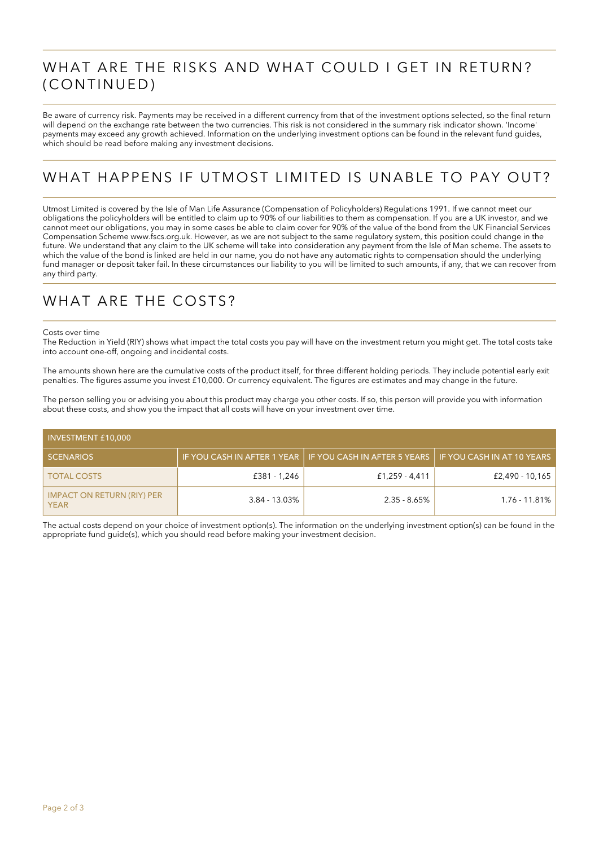## WHAT ARE THE RISKS AND WHAT COULD I GET IN RETURN? (CONTINUED)

Be aware of currency risk. Payments may be received in a different currency from that of the investment options selected, so the final return will depend on the exchange rate between the two currencies. This risk is not considered in the summary risk indicator shown. 'Income' payments may exceed any growth achieved. Information on the underlying investment options can be found in the relevant fund guides, which should be read before making any investment decisions.

# WHAT HAPPENS IF UTMOST LIMITED IS UNABLE TO PAY OUT?

Utmost Limited is covered by the Isle of Man Life Assurance (Compensation of Policyholders) Regulations 1991. If we cannot meet our obligations the policyholders will be entitled to claim up to 90% of our liabilities to them as compensation. If you are a UK investor, and we cannot meet our obligations, you may in some cases be able to claim cover for 90% of the value of the bond from the UK Financial Services Compensation Scheme www.fscs.org.uk. However, as we are not subject to the same regulatory system, this position could change in the future. We understand that any claim to the UK scheme will take into consideration any payment from the Isle of Man scheme. The assets to which the value of the bond is linked are held in our name, you do not have any automatic rights to compensation should the underlying fund manager or deposit taker fail. In these circumstances our liability to you will be limited to such amounts, if any, that we can recover from any third party.

### WHAT ARE THE COSTS?

#### Costs over time

The Reduction in Yield (RIY) shows what impact the total costs you pay will have on the investment return you might get. The total costs take into account one-off, ongoing and incidental costs.

The amounts shown here are the cumulative costs of the product itself, for three different holding periods. They include potential early exit penalties. The figures assume you invest £10,000. Or currency equivalent. The figures are estimates and may change in the future.

The person selling you or advising you about this product may charge you other costs. If so, this person will provide you with information about these costs, and show you the impact that all costs will have on your investment over time.

| <b>INVESTMENT £10,000</b>                        |               |                                                                                         |                 |  |  |
|--------------------------------------------------|---------------|-----------------------------------------------------------------------------------------|-----------------|--|--|
| <b>SCENARIOS</b>                                 |               | IF YOU CASH IN AFTER 1 YEAR   IF YOU CASH IN AFTER 5 YEARS   IF YOU CASH IN AT 10 YEARS |                 |  |  |
| <b>TOTAL COSTS</b>                               | £381 - 1,246  | £1,259 - 4,411                                                                          | £2,490 - 10,165 |  |  |
| <b>IMPACT ON RETURN (RIY) PER</b><br><b>YEAR</b> | 3.84 - 13.03% | $2.35 - 8.65\%$                                                                         | 1.76 - 11.81%   |  |  |

The actual costs depend on your choice of investment option(s). The information on the underlying investment option(s) can be found in the appropriate fund guide(s), which you should read before making your investment decision.